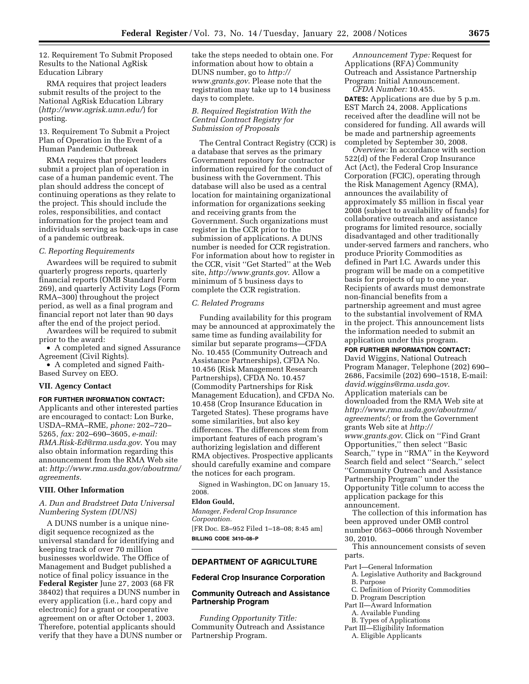12. Requirement To Submit Proposed Results to the National AgRisk Education Library

RMA requires that project leaders submit results of the project to the National AgRisk Education Library (*http://www.agrisk.umn.edu/*) for posting.

13. Requirement To Submit a Project Plan of Operation in the Event of a Human Pandemic Outbreak

RMA requires that project leaders submit a project plan of operation in case of a human pandemic event. The plan should address the concept of continuing operations as they relate to the project. This should include the roles, responsibilities, and contact information for the project team and individuals serving as back-ups in case of a pandemic outbreak.

#### *C. Reporting Requirements*

Awardees will be required to submit quarterly progress reports, quarterly financial reports (OMB Standard Form 269), and quarterly Activity Logs (Form RMA–300) throughout the project period, as well as a final program and financial report not later than 90 days after the end of the project period.

Awardees will be required to submit prior to the award:

• A completed and signed Assurance Agreement (Civil Rights).

• A completed and signed Faith-Based Survey on EEO.

## **VII. Agency Contact**

**FOR FURTHER INFORMATION CONTACT:**  Applicants and other interested parties are encouraged to contact: Lon Burke, USDA–RMA–RME, *phone:* 202–720– 5265, *fax:* 202–690–3605, *e-mail: RMA.Risk-Ed@rma.usda.gov*. You may also obtain information regarding this announcement from the RMA Web site at: *http://www.rma.usda.gov/aboutrma/ agreements.* 

#### **VIII. Other Information**

# *A. Dun and Bradstreet Data Universal Numbering System (DUNS)*

A DUNS number is a unique ninedigit sequence recognized as the universal standard for identifying and keeping track of over 70 million businesses worldwide. The Office of Management and Budget published a notice of final policy issuance in the **Federal Register** June 27, 2003 (68 FR 38402) that requires a DUNS number in every application (i.e., hard copy and electronic) for a grant or cooperative agreement on or after October 1, 2003. Therefore, potential applicants should verify that they have a DUNS number or

take the steps needed to obtain one. For information about how to obtain a DUNS number, go to *http:// www.grants.gov*. Please note that the registration may take up to 14 business days to complete.

# *B. Required Registration With the Central Contract Registry for Submission of Proposals*

The Central Contract Registry (CCR) is a database that serves as the primary Government repository for contractor information required for the conduct of business with the Government. This database will also be used as a central location for maintaining organizational information for organizations seeking and receiving grants from the Government. Such organizations must register in the CCR prior to the submission of applications. A DUNS number is needed for CCR registration. For information about how to register in the CCR, visit ''Get Started'' at the Web site, *http://www.grants.gov*. Allow a minimum of 5 business days to complete the CCR registration.

# *C. Related Programs*

Funding availability for this program may be announced at approximately the same time as funding availability for similar but separate programs—CFDA No. 10.455 (Community Outreach and Assistance Partnerships), CFDA No. 10.456 (Risk Management Research Partnerships), CFDA No. 10.457 (Commodity Partnerships for Risk Management Education), and CFDA No. 10.458 (Crop Insurance Education in Targeted States). These programs have some similarities, but also key differences. The differences stem from important features of each program's authorizing legislation and different RMA objectives. Prospective applicants should carefully examine and compare the notices for each program.

Signed in Washington, DC on January 15, 2008.

#### **Eldon Gould,**

*Manager, Federal Crop Insurance Corporation.*  [FR Doc. E8–952 Filed 1–18–08; 8:45 am] **BILLING CODE 3410–08–P** 

# **DEPARTMENT OF AGRICULTURE**

### **Federal Crop Insurance Corporation**

# **Community Outreach and Assistance Partnership Program**

*Funding Opportunity Title:*  Community Outreach and Assistance Partnership Program.

*Announcement Type:* Request for Applications (RFA) Community Outreach and Assistance Partnership Program: Initial Announcement.

*CFDA Number:* 10.455.

**DATES:** Applications are due by 5 p.m. EST March 24, 2008. Applications received after the deadline will not be considered for funding. All awards will be made and partnership agreements completed by September 30, 2008.

*Overview:* In accordance with section 522(d) of the Federal Crop Insurance Act (Act), the Federal Crop Insurance Corporation (FCIC), operating through the Risk Management Agency (RMA), announces the availability of approximately \$5 million in fiscal year 2008 (subject to availability of funds) for collaborative outreach and assistance programs for limited resource, socially disadvantaged and other traditionally under-served farmers and ranchers, who produce Priority Commodities as defined in Part I.C. Awards under this program will be made on a competitive basis for projects of up to one year. Recipients of awards must demonstrate non-financial benefits from a partnership agreement and must agree to the substantial involvement of RMA in the project. This announcement lists the information needed to submit an application under this program.

#### **FOR FURTHER INFORMATION CONTACT:**

David Wiggins, National Outreach Program Manager, Telephone (202) 690– 2686, Facsimile (202) 690–1518, E-mail: *david.wiggins@rma.usda.gov*. Application materials can be downloaded from the RMA Web site at *http://www.rma.usda.gov/aboutrma/ agreements/*; or from the Government grants Web site at *http:// www.grants.gov*. Click on ''Find Grant Opportunities,'' then select ''Basic Search,'' type in ''RMA'' in the Keyword Search field and select ''Search,'' select ''Community Outreach and Assistance Partnership Program'' under the Opportunity Title column to access the application package for this announcement.

The collection of this information has been approved under OMB control number 0563–0066 through November 30, 2010.

This announcement consists of seven parts.

- Part I—General Information
- A. Legislative Authority and Background B. Purpose
- C. Definition of Priority Commodities
- D. Program Description
- Part II—Award Information
	- A. Available Funding
	- B. Types of Applications
- Part III—Eligibility Information
- A. Eligible Applicants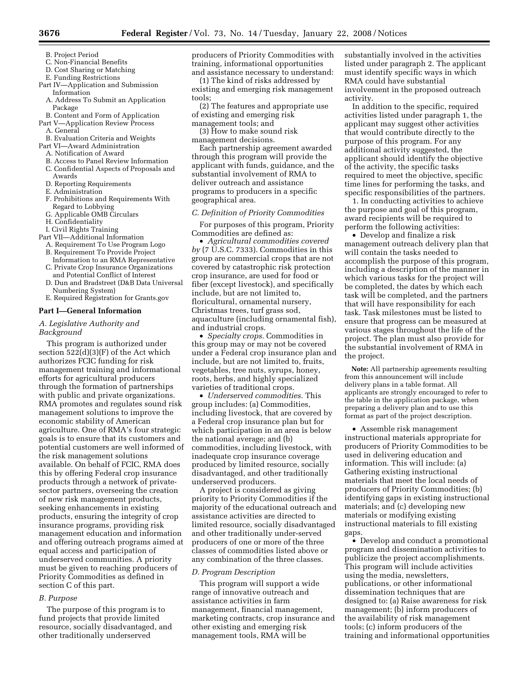- B. Project Period
- C. Non-Financial Benefits
- D. Cost Sharing or Matching
- E. Funding Restrictions Part IV—Application and Submission
- Information
- A. Address To Submit an Application Package
- B. Content and Form of Application
- Part V—Application Review Process A. General
- B. Evaluation Criteria and Weights
- Part VI—Award Administration
	- A. Notification of Award
	- B. Access to Panel Review Information
	- C. Confidential Aspects of Proposals and
	- Awards
	- D. Reporting Requirements
	- E. Administration
	- F. Prohibitions and Requirements With Regard to Lobbying
	- G. Applicable OMB Circulars
	- H. Confidentiality
	- I. Civil Rights Training
- Part VII—Additional Information
	- A. Requirement To Use Program Logo B. Requirement To Provide Project
	- Information to an RMA Representative C. Private Crop Insurance Organizations
	- and Potential Conflict of Interest D. Dun and Bradstreet (D&B Data Universal
	- Numbering System) E. Required Registration for Grants.gov
- 

#### **Part I—General Information**

# *A. Legislative Authority and Background*

This program is authorized under section 522(d)(3)(F) of the Act which authorizes FCIC funding for risk management training and informational efforts for agricultural producers through the formation of partnerships with public and private organizations. RMA promotes and regulates sound risk management solutions to improve the economic stability of American agriculture. One of RMA's four strategic goals is to ensure that its customers and potential customers are well informed of the risk management solutions available. On behalf of FCIC, RMA does this by offering Federal crop insurance products through a network of privatesector partners, overseeing the creation of new risk management products, seeking enhancements in existing products, ensuring the integrity of crop insurance programs, providing risk management education and information and offering outreach programs aimed at equal access and participation of underserved communities. A priority must be given to reaching producers of Priority Commodities as defined in section C of this part.

#### *B. Purpose*

The purpose of this program is to fund projects that provide limited resource, socially disadvantaged, and other traditionally underserved

producers of Priority Commodities with training, informational opportunities and assistance necessary to understand:

(1) The kind of risks addressed by existing and emerging risk management tools;

- (2) The features and appropriate use of existing and emerging risk
- management tools; and

(3) How to make sound risk management decisions.

Each partnership agreement awarded through this program will provide the applicant with funds, guidance, and the substantial involvement of RMA to deliver outreach and assistance programs to producers in a specific geographical area.

#### *C. Definition of Priority Commodities*

For purposes of this program, Priority Commodities are defined as:

• *Agricultural commodities covered by* (7 U.S.C. 7333). Commodities in this group are commercial crops that are not covered by catastrophic risk protection crop insurance, are used for food or fiber (except livestock), and specifically include, but are not limited to, floricultural, ornamental nursery, Christmas trees, turf grass sod, aquaculture (including ornamental fish), and industrial crops.

• *Specialty crops.* Commodities in this group may or may not be covered under a Federal crop insurance plan and include, but are not limited to, fruits, vegetables, tree nuts, syrups, honey, roots, herbs, and highly specialized varieties of traditional crops.

• *Underserved commodities.* This group includes: (a) Commodities, including livestock, that are covered by a Federal crop insurance plan but for which participation in an area is below the national average; and (b) commodities, including livestock, with inadequate crop insurance coverage produced by limited resource, socially disadvantaged, and other traditionally underserved producers.

A project is considered as giving priority to Priority Commodities if the majority of the educational outreach and assistance activities are directed to limited resource, socially disadvantaged and other traditionally under-served producers of one or more of the three classes of commodities listed above or any combination of the three classes.

#### *D. Program Description*

This program will support a wide range of innovative outreach and assistance activities in farm management, financial management, marketing contracts, crop insurance and other existing and emerging risk management tools, RMA will be

substantially involved in the activities listed under paragraph 2. The applicant must identify specific ways in which RMA could have substantial involvement in the proposed outreach activity.

In addition to the specific, required activities listed under paragraph 1, the applicant may suggest other activities that would contribute directly to the purpose of this program. For any additional activity suggested, the applicant should identify the objective of the activity, the specific tasks required to meet the objective, specific time lines for performing the tasks, and specific responsibilities of the partners.

1. In conducting activities to achieve the purpose and goal of this program, award recipients will be required to perform the following activities:

• Develop and finalize a risk management outreach delivery plan that will contain the tasks needed to accomplish the purpose of this program, including a description of the manner in which various tasks for the project will be completed, the dates by which each task will be completed, and the partners that will have responsibility for each task. Task milestones must be listed to ensure that progress can be measured at various stages throughout the life of the project. The plan must also provide for the substantial involvement of RMA in the project.

**Note:** All partnership agreements resulting from this announcement will include delivery plans in a table format. All applicants are strongly encouraged to refer to the table in the application package, when preparing a delivery plan and to use this format as part of the project description.

• Assemble risk management instructional materials appropriate for producers of Priority Commodities to be used in delivering education and information. This will include: (a) Gathering existing instructional materials that meet the local needs of producers of Priority Commodities; (b) identifying gaps in existing instructional materials; and (c) developing new materials or modifying existing instructional materials to fill existing gaps.

• Develop and conduct a promotional program and dissemination activities to publicize the project accomplishments. This program will include activities using the media, newsletters, publications, or other informational dissemination techniques that are designed to: (a) Raise awareness for risk management; (b) inform producers of the availability of risk management tools; (c) inform producers of the training and informational opportunities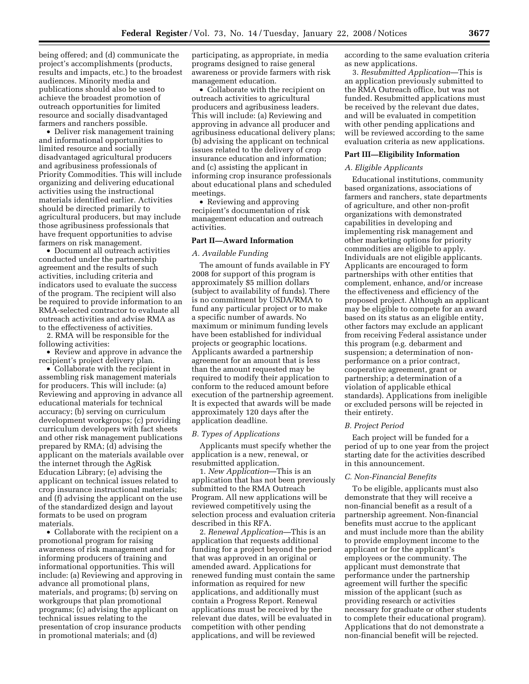being offered; and (d) communicate the project's accomplishments (products, results and impacts, etc.) to the broadest audiences. Minority media and publications should also be used to achieve the broadest promotion of outreach opportunities for limited resource and socially disadvantaged farmers and ranchers possible.

• Deliver risk management training and informational opportunities to limited resource and socially disadvantaged agricultural producers and agribusiness professionals of Priority Commodities. This will include organizing and delivering educational activities using the instructional materials identified earlier. Activities should be directed primarily to agricultural producers, but may include those agribusiness professionals that have frequent opportunities to advise farmers on risk management.

• Document all outreach activities conducted under the partnership agreement and the results of such activities, including criteria and indicators used to evaluate the success of the program. The recipient will also be required to provide information to an RMA-selected contractor to evaluate all outreach activities and advise RMA as to the effectiveness of activities.

2. RMA will be responsible for the following activities:

• Review and approve in advance the recipient's project delivery plan.

• Collaborate with the recipient in assembling risk management materials for producers. This will include: (a) Reviewing and approving in advance all educational materials for technical accuracy; (b) serving on curriculum development workgroups; (c) providing curriculum developers with fact sheets and other risk management publications prepared by RMA; (d) advising the applicant on the materials available over the internet through the AgRisk Education Library; (e) advising the applicant on technical issues related to crop insurance instructional materials; and (f) advising the applicant on the use of the standardized design and layout formats to be used on program materials.

• Collaborate with the recipient on a promotional program for raising awareness of risk management and for informing producers of training and informational opportunities. This will include: (a) Reviewing and approving in advance all promotional plans, materials, and programs; (b) serving on workgroups that plan promotional programs; (c) advising the applicant on technical issues relating to the presentation of crop insurance products in promotional materials; and (d)

participating, as appropriate, in media programs designed to raise general awareness or provide farmers with risk management education.

• Collaborate with the recipient on outreach activities to agricultural producers and agribusiness leaders. This will include: (a) Reviewing and approving in advance all producer and agribusiness educational delivery plans; (b) advising the applicant on technical issues related to the delivery of crop insurance education and information; and (c) assisting the applicant in informing crop insurance professionals about educational plans and scheduled meetings.

• Reviewing and approving recipient's documentation of risk management education and outreach activities.

# **Part II—Award Information**

# *A. Available Funding*

The amount of funds available in FY 2008 for support of this program is approximately \$5 million dollars (subject to availability of funds). There is no commitment by USDA/RMA to fund any particular project or to make a specific number of awards. No maximum or minimum funding levels have been established for individual projects or geographic locations. Applicants awarded a partnership agreement for an amount that is less than the amount requested may be required to modify their application to conform to the reduced amount before execution of the partnership agreement. It is expected that awards will be made approximately 120 days after the application deadline.

#### *B. Types of Applications*

Applicants must specify whether the application is a new, renewal, or resubmitted application.

1. *New Application*—This is an application that has not been previously submitted to the RMA Outreach Program. All new applications will be reviewed competitively using the selection process and evaluation criteria described in this RFA.

2. *Renewal Application*—This is an application that requests additional funding for a project beyond the period that was approved in an original or amended award. Applications for renewed funding must contain the same information as required for new applications, and additionally must contain a Progress Report. Renewal applications must be received by the relevant due dates, will be evaluated in competition with other pending applications, and will be reviewed

according to the same evaluation criteria as new applications.

3. *Resubmitted Application*—This is an application previously submitted to the RMA Outreach office, but was not funded. Resubmitted applications must be received by the relevant due dates, and will be evaluated in competition with other pending applications and will be reviewed according to the same evaluation criteria as new applications.

# **Part III—Eligibility Information**

#### *A. Eligible Applicants*

Educational institutions, community based organizations, associations of farmers and ranchers, state departments of agriculture, and other non-profit organizations with demonstrated capabilities in developing and implementing risk management and other marketing options for priority commodities are eligible to apply. Individuals are not eligible applicants. Applicants are encouraged to form partnerships with other entities that complement, enhance, and/or increase the effectiveness and efficiency of the proposed project. Although an applicant may be eligible to compete for an award based on its status as an eligible entity, other factors may exclude an applicant from receiving Federal assistance under this program (e.g. debarment and suspension; a determination of nonperformance on a prior contract, cooperative agreement, grant or partnership; a determination of a violation of applicable ethical standards). Applications from ineligible or excluded persons will be rejected in their entirety.

# *B. Project Period*

Each project will be funded for a period of up to one year from the project starting date for the activities described in this announcement.

# *C. Non-Financial Benefits*

To be eligible, applicants must also demonstrate that they will receive a non-financial benefit as a result of a partnership agreement. Non-financial benefits must accrue to the applicant and must include more than the ability to provide employment income to the applicant or for the applicant's employees or the community. The applicant must demonstrate that performance under the partnership agreement will further the specific mission of the applicant (such as providing research or activities necessary for graduate or other students to complete their educational program). Applications that do not demonstrate a non-financial benefit will be rejected.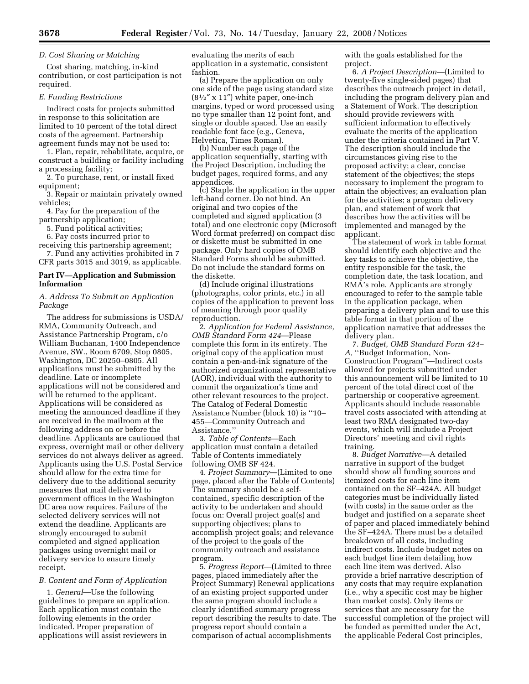# *D. Cost Sharing or Matching*

Cost sharing, matching, in-kind contribution, or cost participation is not required.

#### *E. Funding Restrictions*

Indirect costs for projects submitted in response to this solicitation are limited to 10 percent of the total direct costs of the agreement. Partnership agreement funds may not be used to:

1. Plan, repair, rehabilitate, acquire, or construct a building or facility including a processing facility;

2. To purchase, rent, or install fixed equipment;

3. Repair or maintain privately owned vehicles;

4. Pay for the preparation of the partnership application;

5. Fund political activities;

6. Pay costs incurred prior to

receiving this partnership agreement; 7. Fund any activities prohibited in 7 CFR parts 3015 and 3019, as applicable.

# **Part IV—Application and Submission Information**

# *A. Address To Submit an Application Package*

The address for submissions is USDA/ RMA, Community Outreach, and Assistance Partnership Program, c/o William Buchanan, 1400 Independence Avenue, SW., Room 6709, Stop 0805, Washington, DC 20250–0805. All applications must be submitted by the deadline. Late or incomplete applications will not be considered and will be returned to the applicant. Applications will be considered as meeting the announced deadline if they are received in the mailroom at the following address on or before the deadline. Applicants are cautioned that express, overnight mail or other delivery services do not always deliver as agreed. Applicants using the U.S. Postal Service should allow for the extra time for delivery due to the additional security measures that mail delivered to government offices in the Washington DC area now requires. Failure of the selected delivery services will not extend the deadline. Applicants are strongly encouraged to submit completed and signed application packages using overnight mail or delivery service to ensure timely receipt.

## *B. Content and Form of Application*

1. *General*—Use the following guidelines to prepare an application. Each application must contain the following elements in the order indicated. Proper preparation of applications will assist reviewers in

evaluating the merits of each application in a systematic, consistent fashion.

(a) Prepare the application on only one side of the page using standard size  $(8<sup>1</sup>/<sub>2</sub>''$  x 11") white paper, one-inch margins, typed or word processed using no type smaller than 12 point font, and single or double spaced. Use an easily readable font face (e.g., Geneva, Helvetica, Times Roman).

(b) Number each page of the application sequentially, starting with the Project Description, including the budget pages, required forms, and any appendices.

(c) Staple the application in the upper left-hand corner. Do not bind. An original and two copies of the completed and signed application (3 total) and one electronic copy (Microsoft Word format preferred) on compact disc or diskette must be submitted in one package. Only hard copies of OMB Standard Forms should be submitted. Do not include the standard forms on the diskette.

(d) Include original illustrations (photographs, color prints, etc.) in all copies of the application to prevent loss of meaning through poor quality reproduction.

2. *Application for Federal Assistance, OMB Standard Form 424*—Please complete this form in its entirety. The original copy of the application must contain a pen-and-ink signature of the authorized organizational representative (AOR), individual with the authority to commit the organization's time and other relevant resources to the project. The Catalog of Federal Domestic Assistance Number (block 10) is ''10– 455—Community Outreach and Assistance.''

3. *Table of Contents*—Each application must contain a detailed Table of Contents immediately following OMB SF 424.

4. *Project Summary*—(Limited to one page, placed after the Table of Contents) The summary should be a selfcontained, specific description of the activity to be undertaken and should focus on: Overall project goal(s) and supporting objectives; plans to accomplish project goals; and relevance of the project to the goals of the community outreach and assistance program.

5. *Progress Report*—(Limited to three pages, placed immediately after the Project Summary) Renewal applications of an existing project supported under the same program should include a clearly identified summary progress report describing the results to date. The progress report should contain a comparison of actual accomplishments

with the goals established for the project.

6. *A Project Description*—(Limited to twenty-five single-sided pages) that describes the outreach project in detail, including the program delivery plan and a Statement of Work. The description should provide reviewers with sufficient information to effectively evaluate the merits of the application under the criteria contained in Part V. The description should include the circumstances giving rise to the proposed activity; a clear, concise statement of the objectives; the steps necessary to implement the program to attain the objectives; an evaluation plan for the activities; a program delivery plan, and statement of work that describes how the activities will be implemented and managed by the applicant.

The statement of work in table format should identify each objective and the key tasks to achieve the objective, the entity responsible for the task, the completion date, the task location, and RMA's role. Applicants are strongly encouraged to refer to the sample table in the application package, when preparing a delivery plan and to use this table format in that portion of the application narrative that addresses the delivery plan.

7. *Budget, OMB Standard Form 424– A,* ''Budget Information, Non-Construction Program''—Indirect costs allowed for projects submitted under this announcement will be limited to 10 percent of the total direct cost of the partnership or cooperative agreement. Applicants should include reasonable travel costs associated with attending at least two RMA designated two-day events, which will include a Project Directors' meeting and civil rights training.

8. *Budget Narrative*—A detailed narrative in support of the budget should show all funding sources and itemized costs for each line item contained on the SF–424A. All budget categories must be individually listed (with costs) in the same order as the budget and justified on a separate sheet of paper and placed immediately behind the SF–424A. There must be a detailed breakdown of all costs, including indirect costs. Include budget notes on each budget line item detailing how each line item was derived. Also provide a brief narrative description of any costs that may require explanation (i.e., why a specific cost may be higher than market costs). Only items or services that are necessary for the successful completion of the project will be funded as permitted under the Act, the applicable Federal Cost principles,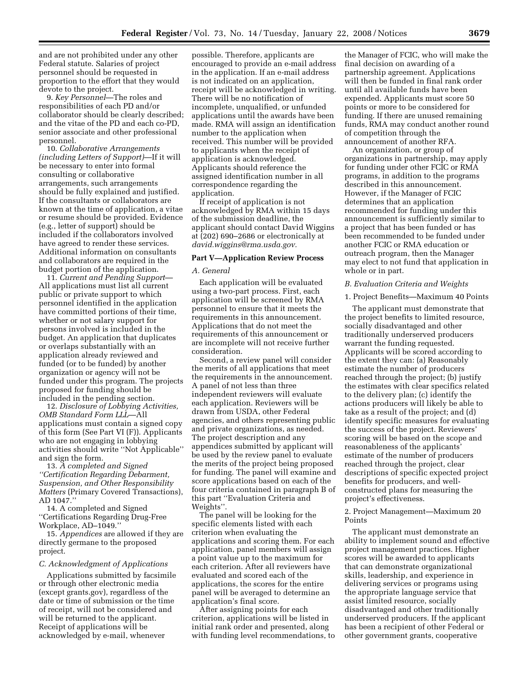and are not prohibited under any other Federal statute. Salaries of project personnel should be requested in proportion to the effort that they would devote to the project.

9. *Key Personnel*—The roles and responsibilities of each PD and/or collaborator should be clearly described; and the vitae of the PD and each co-PD, senior associate and other professional personnel.

10. *Collaborative Arrangements (including Letters of Support)*—If it will be necessary to enter into formal consulting or collaborative arrangements, such arrangements should be fully explained and justified. If the consultants or collaborators are known at the time of application, a vitae or resume should be provided. Evidence (e.g., letter of support) should be included if the collaborators involved have agreed to render these services. Additional information on consultants and collaborators are required in the budget portion of the application.

11. *Current and Pending Support*— All applications must list all current public or private support to which personnel identified in the application have committed portions of their time, whether or not salary support for persons involved is included in the budget. An application that duplicates or overlaps substantially with an application already reviewed and funded (or to be funded) by another organization or agency will not be funded under this program. The projects proposed for funding should be included in the pending section.

12. *Disclosure of Lobbying Activities, OMB Standard Form LLL*—All applications must contain a signed copy of this form (See Part VI (F)). Applicants who are not engaging in lobbying activities should write ''Not Applicable'' and sign the form.

13. *A completed and Signed ''Certification Regarding Debarment, Suspension, and Other Responsibility Matters* (Primary Covered Transactions), AD 1047.''

14. A completed and Signed ''Certifications Regarding Drug-Free Workplace, AD–1049.''

15. *Appendices* are allowed if they are directly germane to the proposed project.

#### *C. Acknowledgment of Applications*

Applications submitted by facsimile or through other electronic media (except grants.gov), regardless of the date or time of submission or the time of receipt, will not be considered and will be returned to the applicant. Receipt of applications will be acknowledged by e-mail, whenever

possible. Therefore, applicants are encouraged to provide an e-mail address in the application. If an e-mail address is not indicated on an application, receipt will be acknowledged in writing. There will be no notification of incomplete, unqualified, or unfunded applications until the awards have been made. RMA will assign an identification number to the application when received. This number will be provided to applicants when the receipt of application is acknowledged. Applicants should reference the assigned identification number in all correspondence regarding the application.

If receipt of application is not acknowledged by RMA within 15 days of the submission deadline, the applicant should contact David Wiggins at (202) 690–2686 or electronically at *david.wiggins@rma.usda.gov.* 

# **Part V—Application Review Process**

#### *A. General*

Each application will be evaluated using a two-part process. First, each application will be screened by RMA personnel to ensure that it meets the requirements in this announcement. Applications that do not meet the requirements of this announcement or are incomplete will not receive further consideration.

Second, a review panel will consider the merits of all applications that meet the requirements in the announcement. A panel of not less than three independent reviewers will evaluate each application. Reviewers will be drawn from USDA, other Federal agencies, and others representing public and private organizations, as needed. The project description and any appendices submitted by applicant will be used by the review panel to evaluate the merits of the project being proposed for funding. The panel will examine and score applications based on each of the four criteria contained in paragraph B of this part ''Evaluation Criteria and Weights''.

The panel will be looking for the specific elements listed with each criterion when evaluating the applications and scoring them. For each application, panel members will assign a point value up to the maximum for each criterion. After all reviewers have evaluated and scored each of the applications, the scores for the entire panel will be averaged to determine an application's final score.

After assigning points for each criterion, applications will be listed in initial rank order and presented, along with funding level recommendations, to

the Manager of FCIC, who will make the final decision on awarding of a partnership agreement. Applications will then be funded in final rank order until all available funds have been expended. Applicants must score 50 points or more to be considered for funding. If there are unused remaining funds, RMA may conduct another round of competition through the announcement of another RFA.

An organization, or group of organizations in partnership, may apply for funding under other FCIC or RMA programs, in addition to the programs described in this announcement. However, if the Manager of FCIC determines that an application recommended for funding under this announcement is sufficiently similar to a project that has been funded or has been recommended to be funded under another FCIC or RMA education or outreach program, then the Manager may elect to not fund that application in whole or in part.

#### *B. Evaluation Criteria and Weights*

#### 1. Project Benefits—Maximum 40 Points

The applicant must demonstrate that the project benefits to limited resource, socially disadvantaged and other traditionally underserved producers warrant the funding requested. Applicants will be scored according to the extent they can: (a) Reasonably estimate the number of producers reached through the project; (b) justify the estimates with clear specifics related to the delivery plan; (c) identify the actions producers will likely be able to take as a result of the project; and (d) identify specific measures for evaluating the success of the project. Reviewers' scoring will be based on the scope and reasonableness of the applicants' estimate of the number of producers reached through the project, clear descriptions of specific expected project benefits for producers, and wellconstructed plans for measuring the project's effectiveness.

## 2. Project Management—Maximum 20 Points

The applicant must demonstrate an ability to implement sound and effective project management practices. Higher scores will be awarded to applicants that can demonstrate organizational skills, leadership, and experience in delivering services or programs using the appropriate language service that assist limited resource, socially disadvantaged and other traditionally underserved producers. If the applicant has been a recipient of other Federal or other government grants, cooperative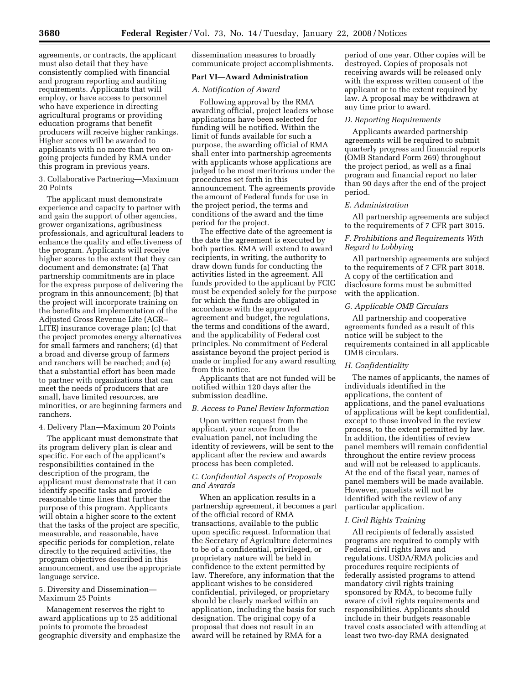agreements, or contracts, the applicant must also detail that they have consistently complied with financial and program reporting and auditing requirements. Applicants that will employ, or have access to personnel who have experience in directing agricultural programs or providing education programs that benefit producers will receive higher rankings. Higher scores will be awarded to applicants with no more than two ongoing projects funded by RMA under this program in previous years.

3. Collaborative Partnering—Maximum 20 Points

The applicant must demonstrate experience and capacity to partner with and gain the support of other agencies, grower organizations, agribusiness professionals, and agricultural leaders to enhance the quality and effectiveness of the program. Applicants will receive higher scores to the extent that they can document and demonstrate: (a) That partnership commitments are in place for the express purpose of delivering the program in this announcement; (b) that the project will incorporate training on the benefits and implementation of the Adjusted Gross Revenue Lite (AGR– LITE) insurance coverage plan; (c) that the project promotes energy alternatives for small farmers and ranchers; (d) that a broad and diverse group of farmers and ranchers will be reached; and (e) that a substantial effort has been made to partner with organizations that can meet the needs of producers that are small, have limited resources, are minorities, or are beginning farmers and ranchers.

#### 4. Delivery Plan—Maximum 20 Points

The applicant must demonstrate that its program delivery plan is clear and specific. For each of the applicant's responsibilities contained in the description of the program, the applicant must demonstrate that it can identify specific tasks and provide reasonable time lines that further the purpose of this program. Applicants will obtain a higher score to the extent that the tasks of the project are specific, measurable, and reasonable, have specific periods for completion, relate directly to the required activities, the program objectives described in this announcement, and use the appropriate language service.

# 5. Diversity and Dissemination— Maximum 25 Points

Management reserves the right to award applications up to 25 additional points to promote the broadest geographic diversity and emphasize the dissemination measures to broadly communicate project accomplishments.

# **Part VI—Award Administration**

# *A. Notification of Award*

Following approval by the RMA awarding official, project leaders whose applications have been selected for funding will be notified. Within the limit of funds available for such a purpose, the awarding official of RMA shall enter into partnership agreements with applicants whose applications are judged to be most meritorious under the procedures set forth in this announcement. The agreements provide the amount of Federal funds for use in the project period, the terms and conditions of the award and the time period for the project.

The effective date of the agreement is the date the agreement is executed by both parties. RMA will extend to award recipients, in writing, the authority to draw down funds for conducting the activities listed in the agreement. All funds provided to the applicant by FCIC must be expended solely for the purpose for which the funds are obligated in accordance with the approved agreement and budget, the regulations, the terms and conditions of the award, and the applicability of Federal cost principles. No commitment of Federal assistance beyond the project period is made or implied for any award resulting from this notice.

Applicants that are not funded will be notified within 120 days after the submission deadline.

## *B. Access to Panel Review Information*

Upon written request from the applicant, your score from the evaluation panel, not including the identity of reviewers, will be sent to the applicant after the review and awards process has been completed.

# *C. Confidential Aspects of Proposals and Awards*

When an application results in a partnership agreement, it becomes a part of the official record of RMA transactions, available to the public upon specific request. Information that the Secretary of Agriculture determines to be of a confidential, privileged, or proprietary nature will be held in confidence to the extent permitted by law. Therefore, any information that the applicant wishes to be considered confidential, privileged, or proprietary should be clearly marked within an application, including the basis for such designation. The original copy of a proposal that does not result in an award will be retained by RMA for a

period of one year. Other copies will be destroyed. Copies of proposals not receiving awards will be released only with the express written consent of the applicant or to the extent required by law. A proposal may be withdrawn at any time prior to award.

#### *D. Reporting Requirements*

Applicants awarded partnership agreements will be required to submit quarterly progress and financial reports (OMB Standard Form 269) throughout the project period, as well as a final program and financial report no later than 90 days after the end of the project period.

# *E. Administration*

All partnership agreements are subject to the requirements of 7 CFR part 3015.

# *F. Prohibitions and Requirements With Regard to Lobbying*

All partnership agreements are subject to the requirements of 7 CFR part 3018. A copy of the certification and disclosure forms must be submitted with the application.

#### *G. Applicable OMB Circulars*

All partnership and cooperative agreements funded as a result of this notice will be subject to the requirements contained in all applicable OMB circulars.

#### *H. Confidentiality*

The names of applicants, the names of individuals identified in the applications, the content of applications, and the panel evaluations of applications will be kept confidential, except to those involved in the review process, to the extent permitted by law. In addition, the identities of review panel members will remain confidential throughout the entire review process and will not be released to applicants. At the end of the fiscal year, names of panel members will be made available. However, panelists will not be identified with the review of any particular application.

#### *I. Civil Rights Training*

All recipients of federally assisted programs are required to comply with Federal civil rights laws and regulations. USDA/RMA policies and procedures require recipients of federally assisted programs to attend mandatory civil rights training sponsored by RMA, to become fully aware of civil rights requirements and responsibilities. Applicants should include in their budgets reasonable travel costs associated with attending at least two two-day RMA designated